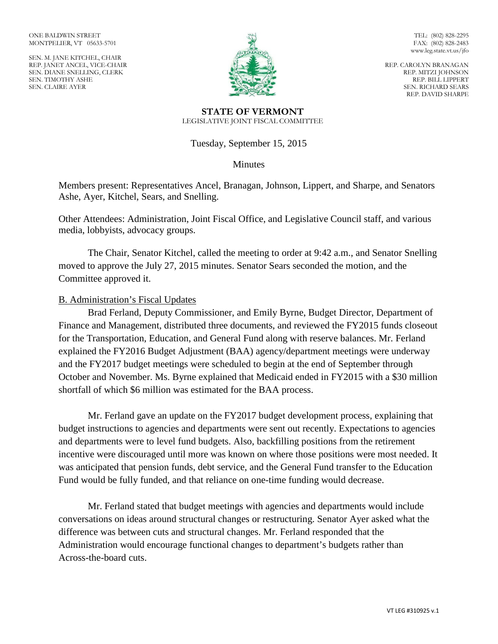SEN. M. JANE KITCHEL, CHAIR REP. JANET ANCEL, VICE-CHAIR SEN. DIANE SNELLING, CLERK SEN. TIMOTHY ASHE SEN. CLAIRE AYER



TEL: (802) 828-2295 FAX: (802) 828-2483 www.leg.state.vt.us/jfo

REP. CAROLYN BRANAGAN REP. MITZI JOHNSON REP. BILL LIPPERT SEN. RICHARD SEARS REP. DAVID SHARPE

#### **STATE OF VERMONT** LEGISLATIVE JOINT FISCAL COMMITTEE

# Tuesday, September 15, 2015

# **Minutes**

Members present: Representatives Ancel, Branagan, Johnson, Lippert, and Sharpe, and Senators Ashe, Ayer, Kitchel, Sears, and Snelling.

Other Attendees: Administration, Joint Fiscal Office, and Legislative Council staff, and various media, lobbyists, advocacy groups.

The Chair, Senator Kitchel, called the meeting to order at 9:42 a.m., and Senator Snelling moved to approve the July 27, 2015 minutes. Senator Sears seconded the motion, and the Committee approved it.

### B. Administration's Fiscal Updates

Brad Ferland, Deputy Commissioner, and Emily Byrne, Budget Director, Department of Finance and Management, distributed three documents, and reviewed the FY2015 funds closeout for the Transportation, Education, and General Fund along with reserve balances. Mr. Ferland explained the FY2016 Budget Adjustment (BAA) agency/department meetings were underway and the FY2017 budget meetings were scheduled to begin at the end of September through October and November. Ms. Byrne explained that Medicaid ended in FY2015 with a \$30 million shortfall of which \$6 million was estimated for the BAA process.

Mr. Ferland gave an update on the FY2017 budget development process, explaining that budget instructions to agencies and departments were sent out recently. Expectations to agencies and departments were to level fund budgets. Also, backfilling positions from the retirement incentive were discouraged until more was known on where those positions were most needed. It was anticipated that pension funds, debt service, and the General Fund transfer to the Education Fund would be fully funded, and that reliance on one-time funding would decrease.

Mr. Ferland stated that budget meetings with agencies and departments would include conversations on ideas around structural changes or restructuring. Senator Ayer asked what the difference was between cuts and structural changes. Mr. Ferland responded that the Administration would encourage functional changes to department's budgets rather than Across-the-board cuts.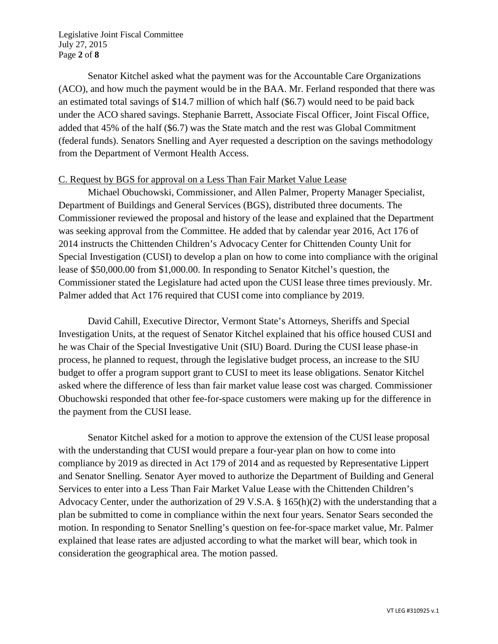Legislative Joint Fiscal Committee July 27, 2015 Page **2** of **8**

Senator Kitchel asked what the payment was for the Accountable Care Organizations (ACO), and how much the payment would be in the BAA. Mr. Ferland responded that there was an estimated total savings of \$14.7 million of which half (\$6.7) would need to be paid back under the ACO shared savings. Stephanie Barrett, Associate Fiscal Officer, Joint Fiscal Office, added that 45% of the half (\$6.7) was the State match and the rest was Global Commitment (federal funds). Senators Snelling and Ayer requested a description on the savings methodology from the Department of Vermont Health Access.

#### C. Request by BGS for approval on a Less Than Fair Market Value Lease

Michael Obuchowski, Commissioner, and Allen Palmer, Property Manager Specialist, Department of Buildings and General Services (BGS), distributed three documents. The Commissioner reviewed the proposal and history of the lease and explained that the Department was seeking approval from the Committee. He added that by calendar year 2016, Act 176 of 2014 instructs the Chittenden Children's Advocacy Center for Chittenden County Unit for Special Investigation (CUSI) to develop a plan on how to come into compliance with the original lease of \$50,000.00 from \$1,000.00. In responding to Senator Kitchel's question, the Commissioner stated the Legislature had acted upon the CUSI lease three times previously. Mr. Palmer added that Act 176 required that CUSI come into compliance by 2019.

David Cahill, Executive Director, Vermont State's Attorneys, Sheriffs and Special Investigation Units, at the request of Senator Kitchel explained that his office housed CUSI and he was Chair of the Special Investigative Unit (SIU) Board. During the CUSI lease phase-in process, he planned to request, through the legislative budget process, an increase to the SIU budget to offer a program support grant to CUSI to meet its lease obligations. Senator Kitchel asked where the difference of less than fair market value lease cost was charged. Commissioner Obuchowski responded that other fee-for-space customers were making up for the difference in the payment from the CUSI lease.

Senator Kitchel asked for a motion to approve the extension of the CUSI lease proposal with the understanding that CUSI would prepare a four-year plan on how to come into compliance by 2019 as directed in Act 179 of 2014 and as requested by Representative Lippert and Senator Snelling. Senator Ayer moved to authorize the Department of Building and General Services to enter into a Less Than Fair Market Value Lease with the Chittenden Children's Advocacy Center, under the authorization of 29 V.S.A. § 165(h)(2) with the understanding that a plan be submitted to come in compliance within the next four years. Senator Sears seconded the motion. In responding to Senator Snelling's question on fee-for-space market value, Mr. Palmer explained that lease rates are adjusted according to what the market will bear, which took in consideration the geographical area. The motion passed.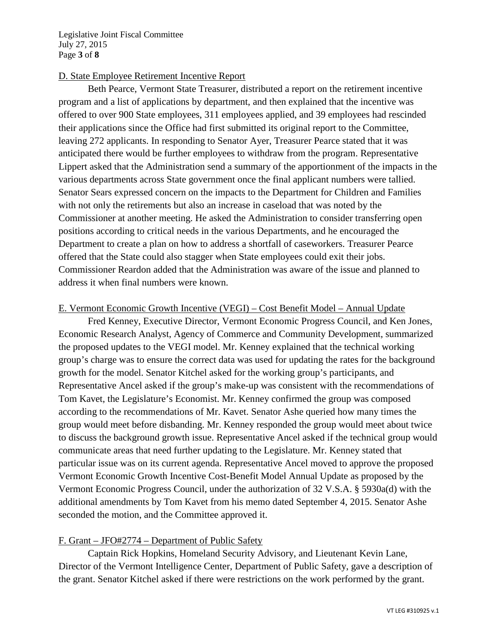Legislative Joint Fiscal Committee July 27, 2015 Page **3** of **8**

# D. State Employee Retirement Incentive Report

Beth Pearce, Vermont State Treasurer, distributed a report on the retirement incentive program and a list of applications by department, and then explained that the incentive was offered to over 900 State employees, 311 employees applied, and 39 employees had rescinded their applications since the Office had first submitted its original report to the Committee, leaving 272 applicants. In responding to Senator Ayer, Treasurer Pearce stated that it was anticipated there would be further employees to withdraw from the program. Representative Lippert asked that the Administration send a summary of the apportionment of the impacts in the various departments across State government once the final applicant numbers were tallied. Senator Sears expressed concern on the impacts to the Department for Children and Families with not only the retirements but also an increase in caseload that was noted by the Commissioner at another meeting. He asked the Administration to consider transferring open positions according to critical needs in the various Departments, and he encouraged the Department to create a plan on how to address a shortfall of caseworkers. Treasurer Pearce offered that the State could also stagger when State employees could exit their jobs. Commissioner Reardon added that the Administration was aware of the issue and planned to address it when final numbers were known.

### E. Vermont Economic Growth Incentive (VEGI) – Cost Benefit Model – Annual Update

Fred Kenney, Executive Director, Vermont Economic Progress Council, and Ken Jones, Economic Research Analyst, Agency of Commerce and Community Development, summarized the proposed updates to the VEGI model. Mr. Kenney explained that the technical working group's charge was to ensure the correct data was used for updating the rates for the background growth for the model. Senator Kitchel asked for the working group's participants, and Representative Ancel asked if the group's make-up was consistent with the recommendations of Tom Kavet, the Legislature's Economist. Mr. Kenney confirmed the group was composed according to the recommendations of Mr. Kavet. Senator Ashe queried how many times the group would meet before disbanding. Mr. Kenney responded the group would meet about twice to discuss the background growth issue. Representative Ancel asked if the technical group would communicate areas that need further updating to the Legislature. Mr. Kenney stated that particular issue was on its current agenda. Representative Ancel moved to approve the proposed Vermont Economic Growth Incentive Cost-Benefit Model Annual Update as proposed by the Vermont Economic Progress Council, under the authorization of 32 V.S.A. § 5930a(d) with the additional amendments by Tom Kavet from his memo dated September 4, 2015. Senator Ashe seconded the motion, and the Committee approved it.

### F. Grant – JFO#2774 – Department of Public Safety

Captain Rick Hopkins, Homeland Security Advisory, and Lieutenant Kevin Lane, Director of the Vermont Intelligence Center, Department of Public Safety, gave a description of the grant. Senator Kitchel asked if there were restrictions on the work performed by the grant.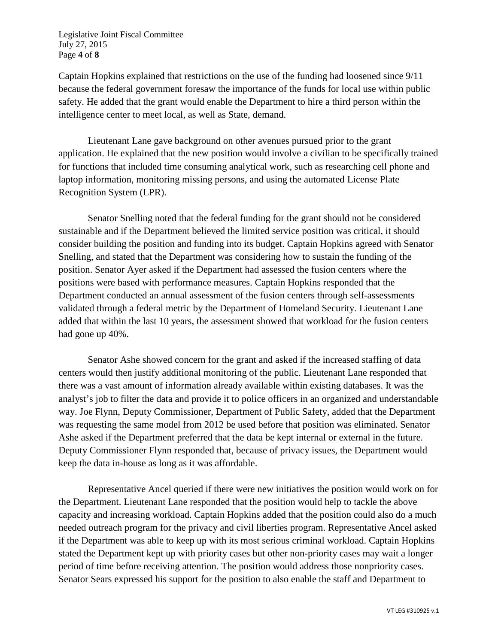Legislative Joint Fiscal Committee July 27, 2015 Page **4** of **8**

Captain Hopkins explained that restrictions on the use of the funding had loosened since 9/11 because the federal government foresaw the importance of the funds for local use within public safety. He added that the grant would enable the Department to hire a third person within the intelligence center to meet local, as well as State, demand.

Lieutenant Lane gave background on other avenues pursued prior to the grant application. He explained that the new position would involve a civilian to be specifically trained for functions that included time consuming analytical work, such as researching cell phone and laptop information, monitoring missing persons, and using the automated License Plate Recognition System (LPR).

Senator Snelling noted that the federal funding for the grant should not be considered sustainable and if the Department believed the limited service position was critical, it should consider building the position and funding into its budget. Captain Hopkins agreed with Senator Snelling, and stated that the Department was considering how to sustain the funding of the position. Senator Ayer asked if the Department had assessed the fusion centers where the positions were based with performance measures. Captain Hopkins responded that the Department conducted an annual assessment of the fusion centers through self-assessments validated through a federal metric by the Department of Homeland Security. Lieutenant Lane added that within the last 10 years, the assessment showed that workload for the fusion centers had gone up 40%.

Senator Ashe showed concern for the grant and asked if the increased staffing of data centers would then justify additional monitoring of the public. Lieutenant Lane responded that there was a vast amount of information already available within existing databases. It was the analyst's job to filter the data and provide it to police officers in an organized and understandable way. Joe Flynn, Deputy Commissioner, Department of Public Safety, added that the Department was requesting the same model from 2012 be used before that position was eliminated. Senator Ashe asked if the Department preferred that the data be kept internal or external in the future. Deputy Commissioner Flynn responded that, because of privacy issues, the Department would keep the data in-house as long as it was affordable.

Representative Ancel queried if there were new initiatives the position would work on for the Department. Lieutenant Lane responded that the position would help to tackle the above capacity and increasing workload. Captain Hopkins added that the position could also do a much needed outreach program for the privacy and civil liberties program. Representative Ancel asked if the Department was able to keep up with its most serious criminal workload. Captain Hopkins stated the Department kept up with priority cases but other non-priority cases may wait a longer period of time before receiving attention. The position would address those nonpriority cases. Senator Sears expressed his support for the position to also enable the staff and Department to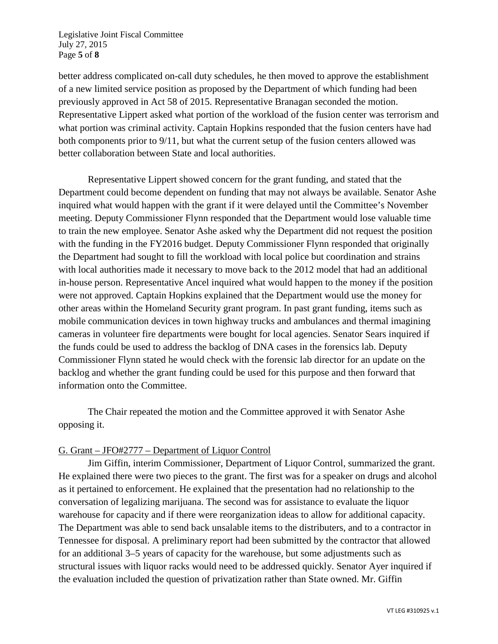Legislative Joint Fiscal Committee July 27, 2015 Page **5** of **8**

better address complicated on-call duty schedules, he then moved to approve the establishment of a new limited service position as proposed by the Department of which funding had been previously approved in Act 58 of 2015. Representative Branagan seconded the motion. Representative Lippert asked what portion of the workload of the fusion center was terrorism and what portion was criminal activity. Captain Hopkins responded that the fusion centers have had both components prior to 9/11, but what the current setup of the fusion centers allowed was better collaboration between State and local authorities.

Representative Lippert showed concern for the grant funding, and stated that the Department could become dependent on funding that may not always be available. Senator Ashe inquired what would happen with the grant if it were delayed until the Committee's November meeting. Deputy Commissioner Flynn responded that the Department would lose valuable time to train the new employee. Senator Ashe asked why the Department did not request the position with the funding in the FY2016 budget. Deputy Commissioner Flynn responded that originally the Department had sought to fill the workload with local police but coordination and strains with local authorities made it necessary to move back to the 2012 model that had an additional in-house person. Representative Ancel inquired what would happen to the money if the position were not approved. Captain Hopkins explained that the Department would use the money for other areas within the Homeland Security grant program. In past grant funding, items such as mobile communication devices in town highway trucks and ambulances and thermal imagining cameras in volunteer fire departments were bought for local agencies. Senator Sears inquired if the funds could be used to address the backlog of DNA cases in the forensics lab. Deputy Commissioner Flynn stated he would check with the forensic lab director for an update on the backlog and whether the grant funding could be used for this purpose and then forward that information onto the Committee.

The Chair repeated the motion and the Committee approved it with Senator Ashe opposing it.

### G. Grant – JFO#2777 – Department of Liquor Control

Jim Giffin, interim Commissioner, Department of Liquor Control, summarized the grant. He explained there were two pieces to the grant. The first was for a speaker on drugs and alcohol as it pertained to enforcement. He explained that the presentation had no relationship to the conversation of legalizing marijuana. The second was for assistance to evaluate the liquor warehouse for capacity and if there were reorganization ideas to allow for additional capacity. The Department was able to send back unsalable items to the distributers, and to a contractor in Tennessee for disposal. A preliminary report had been submitted by the contractor that allowed for an additional 3–5 years of capacity for the warehouse, but some adjustments such as structural issues with liquor racks would need to be addressed quickly. Senator Ayer inquired if the evaluation included the question of privatization rather than State owned. Mr. Giffin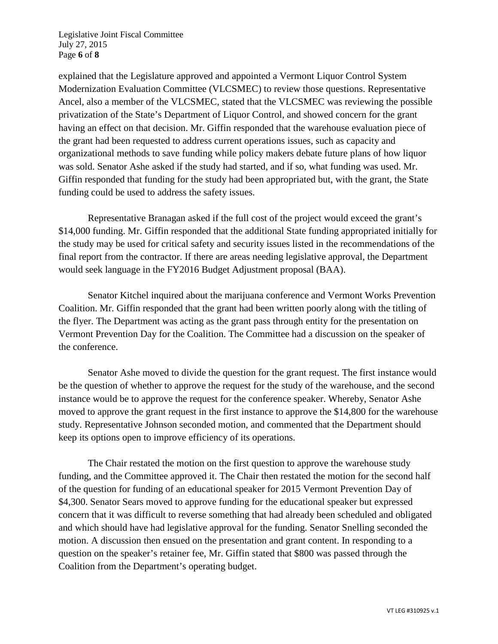Legislative Joint Fiscal Committee July 27, 2015 Page **6** of **8**

explained that the Legislature approved and appointed a Vermont Liquor Control System Modernization Evaluation Committee (VLCSMEC) to review those questions. Representative Ancel, also a member of the VLCSMEC, stated that the VLCSMEC was reviewing the possible privatization of the State's Department of Liquor Control, and showed concern for the grant having an effect on that decision. Mr. Giffin responded that the warehouse evaluation piece of the grant had been requested to address current operations issues, such as capacity and organizational methods to save funding while policy makers debate future plans of how liquor was sold. Senator Ashe asked if the study had started, and if so, what funding was used. Mr. Giffin responded that funding for the study had been appropriated but, with the grant, the State funding could be used to address the safety issues.

Representative Branagan asked if the full cost of the project would exceed the grant's \$14,000 funding. Mr. Giffin responded that the additional State funding appropriated initially for the study may be used for critical safety and security issues listed in the recommendations of the final report from the contractor. If there are areas needing legislative approval, the Department would seek language in the FY2016 Budget Adjustment proposal (BAA).

Senator Kitchel inquired about the marijuana conference and Vermont Works Prevention Coalition. Mr. Giffin responded that the grant had been written poorly along with the titling of the flyer. The Department was acting as the grant pass through entity for the presentation on Vermont Prevention Day for the Coalition. The Committee had a discussion on the speaker of the conference.

Senator Ashe moved to divide the question for the grant request. The first instance would be the question of whether to approve the request for the study of the warehouse, and the second instance would be to approve the request for the conference speaker. Whereby, Senator Ashe moved to approve the grant request in the first instance to approve the \$14,800 for the warehouse study. Representative Johnson seconded motion, and commented that the Department should keep its options open to improve efficiency of its operations.

The Chair restated the motion on the first question to approve the warehouse study funding, and the Committee approved it. The Chair then restated the motion for the second half of the question for funding of an educational speaker for 2015 Vermont Prevention Day of \$4,300. Senator Sears moved to approve funding for the educational speaker but expressed concern that it was difficult to reverse something that had already been scheduled and obligated and which should have had legislative approval for the funding. Senator Snelling seconded the motion. A discussion then ensued on the presentation and grant content. In responding to a question on the speaker's retainer fee, Mr. Giffin stated that \$800 was passed through the Coalition from the Department's operating budget.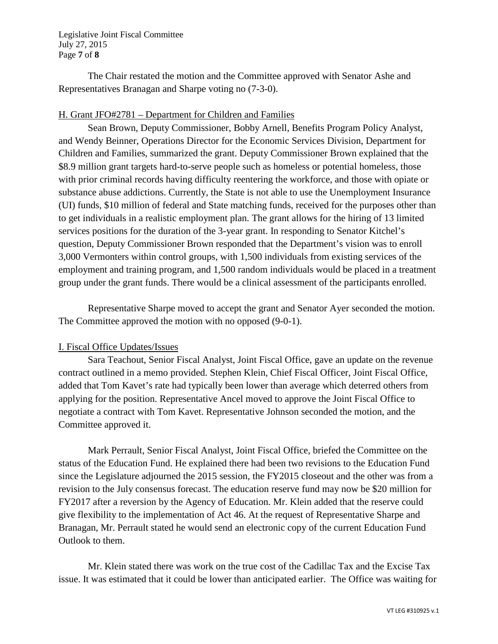Legislative Joint Fiscal Committee July 27, 2015 Page **7** of **8**

The Chair restated the motion and the Committee approved with Senator Ashe and Representatives Branagan and Sharpe voting no (7-3-0).

### H. Grant JFO#2781 – Department for Children and Families

Sean Brown, Deputy Commissioner, Bobby Arnell, Benefits Program Policy Analyst, and Wendy Beinner, Operations Director for the Economic Services Division, Department for Children and Families, summarized the grant. Deputy Commissioner Brown explained that the \$8.9 million grant targets hard-to-serve people such as homeless or potential homeless, those with prior criminal records having difficulty reentering the workforce, and those with opiate or substance abuse addictions. Currently, the State is not able to use the Unemployment Insurance (UI) funds, \$10 million of federal and State matching funds, received for the purposes other than to get individuals in a realistic employment plan. The grant allows for the hiring of 13 limited services positions for the duration of the 3-year grant. In responding to Senator Kitchel's question, Deputy Commissioner Brown responded that the Department's vision was to enroll 3,000 Vermonters within control groups, with 1,500 individuals from existing services of the employment and training program, and 1,500 random individuals would be placed in a treatment group under the grant funds. There would be a clinical assessment of the participants enrolled.

Representative Sharpe moved to accept the grant and Senator Ayer seconded the motion. The Committee approved the motion with no opposed (9-0-1).

### I. Fiscal Office Updates/Issues

Sara Teachout, Senior Fiscal Analyst, Joint Fiscal Office, gave an update on the revenue contract outlined in a memo provided. Stephen Klein, Chief Fiscal Officer, Joint Fiscal Office, added that Tom Kavet's rate had typically been lower than average which deterred others from applying for the position. Representative Ancel moved to approve the Joint Fiscal Office to negotiate a contract with Tom Kavet. Representative Johnson seconded the motion, and the Committee approved it.

Mark Perrault, Senior Fiscal Analyst, Joint Fiscal Office, briefed the Committee on the status of the Education Fund. He explained there had been two revisions to the Education Fund since the Legislature adjourned the 2015 session, the FY2015 closeout and the other was from a revision to the July consensus forecast. The education reserve fund may now be \$20 million for FY2017 after a reversion by the Agency of Education. Mr. Klein added that the reserve could give flexibility to the implementation of Act 46. At the request of Representative Sharpe and Branagan, Mr. Perrault stated he would send an electronic copy of the current Education Fund Outlook to them.

Mr. Klein stated there was work on the true cost of the Cadillac Tax and the Excise Tax issue. It was estimated that it could be lower than anticipated earlier. The Office was waiting for